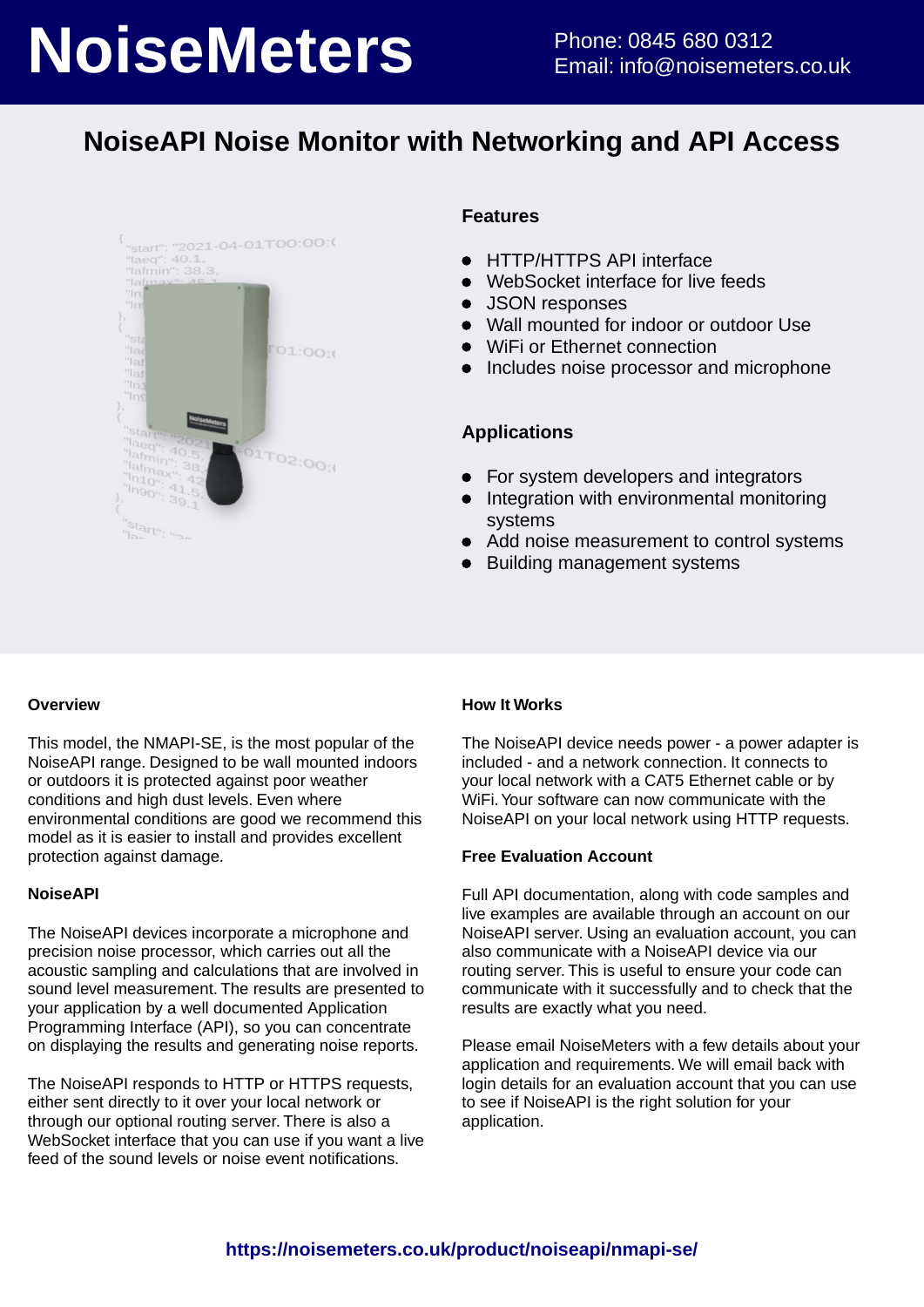# **NoiseMeters** Phone: 0845 680 0312

## **NoiseAPI Noise Monitor with Networking and API Access**



#### **Features**

- HTTP/HTTPS API interface  $\bullet$
- WebSocket interface for live feeds  $\bullet$
- JSON responses  $\bullet$
- Wall mounted for indoor or outdoor Use
- WiFi or Ethernet connection
- Includes noise processor and microphone

#### **Applications**

- For system developers and integrators  $\bullet$
- Integration with environmental monitoring  $\bullet$ systems
- $\bullet$ Add noise measurement to control systems
- $\bullet$ Building management systems

#### **Overview**

This model, the NMAPI-SE, is the most popular of the NoiseAPI range. Designed to be wall mounted indoors or outdoors it is protected against poor weather conditions and high dust levels. Even where environmental conditions are good we recommend this model as it is easier to install and provides excellent protection against damage.

#### **NoiseAPI**

The NoiseAPI devices incorporate a microphone and precision noise processor, which carries out all the acoustic sampling and calculations that are involved in sound level measurement. The results are presented to your application by a well documented Application Programming Interface (API), so you can concentrate on displaying the results and generating noise reports.

The NoiseAPI responds to HTTP or HTTPS requests, either sent directly to it over your local network or through our optional routing server. There is also a WebSocket interface that you can use if you want a live feed of the sound levels or noise event notifications.

#### **How It Works**

The NoiseAPI device needs power - a power adapter is included - and a network connection. It connects to your local network with a CAT5 Ethernet cable or by WiFi. Your software can now communicate with the NoiseAPI on your local network using HTTP requests.

#### **Free Evaluation Account**

Full API documentation, along with code samples and live examples are available through an account on our NoiseAPI server. Using an evaluation account, you can also communicate with a NoiseAPI device via our routing server. This is useful to ensure your code can communicate with it successfully and to check that the results are exactly what you need.

Please email NoiseMeters with a few details about your application and requirements. We will email back with login details for an evaluation account that you can use to see if NoiseAPI is the right solution for your application.